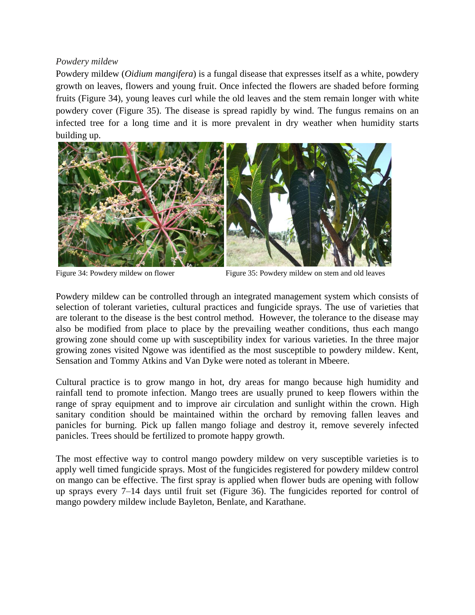## *Powdery mildew*

Powdery mildew (*Oidium mangifera*) is a fungal disease that expresses itself as a white, powdery growth on leaves, flowers and young fruit. Once infected the flowers are shaded before forming fruits (Figure 34), young leaves curl while the old leaves and the stem remain longer with white powdery cover (Figure 35). The disease is spread rapidly by wind. The fungus remains on an infected tree for a long time and it is more prevalent in dry weather when humidity starts building up.



Figure 34: Powdery mildew on flower Figure 35: Powdery mildew on stem and old leaves

Powdery mildew can be controlled through an integrated management system which consists of selection of tolerant varieties, cultural practices and fungicide sprays. The use of varieties that are tolerant to the disease is the best control method. However, the tolerance to the disease may also be modified from place to place by the prevailing weather conditions, thus each mango growing zone should come up with susceptibility index for various varieties. In the three major growing zones visited Ngowe was identified as the most susceptible to powdery mildew. Kent, Sensation and Tommy Atkins and Van Dyke were noted as tolerant in Mbeere.

Cultural practice is to grow mango in hot, dry areas for mango because high humidity and rainfall tend to promote infection. Mango trees are usually pruned to keep flowers within the range of spray equipment and to improve air circulation and sunlight within the crown. High sanitary condition should be maintained within the orchard by removing fallen leaves and panicles for burning. Pick up fallen mango foliage and destroy it, remove severely infected panicles. Trees should be fertilized to promote happy growth.

The most effective way to control mango powdery mildew on very susceptible varieties is to apply well timed fungicide sprays. Most of the fungicides registered for powdery mildew control on mango can be effective. The first spray is applied when flower buds are opening with follow up sprays every 7–14 days until fruit set (Figure 36). The fungicides reported for control of mango powdery mildew include Bayleton, Benlate, and Karathane.